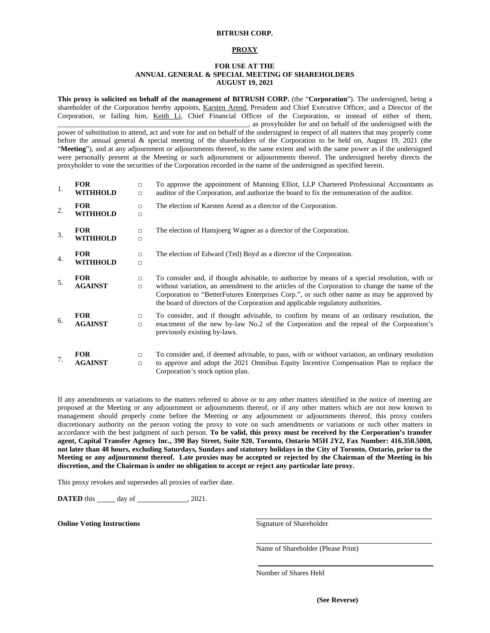### **BITRUSH CORP.**

#### **PROXY**

# **FOR USE AT THE ANNUAL GENERAL & SPECIAL MEETING OF SHAREHOLDERS AUGUST 19, 2021**

**This proxy is solicited on behalf of the management of BITRUSH CORP.** (the "**Corporation**"). The undersigned, being a shareholder of the Corporation hereby appoints, Karsten Arend, President and Chief Executive Officer, and a Director of the Corporation, or failing him, Keith Li, Chief Financial Officer of the Corporation, or instead of either of them, \_\_\_\_\_\_\_\_\_\_\_\_\_\_\_\_\_\_\_\_\_\_\_\_\_\_\_\_\_\_\_\_\_\_\_\_\_\_\_\_\_\_\_\_\_\_\_\_\_\_\_\_\_, as proxyholder for and on behalf of the undersigned with the power of substitution to attend, act and vote for and on behalf of the undersigned in respect of all matters that may properly come

before the annual general & special meeting of the shareholders of the Corporation to be held on, August 19, 2021 (the "**Meeting**"), and at any adjournment or adjournments thereof, to the same extent and with the same power as if the undersigned were personally present at the Meeting or such adjournment or adjournments thereof. The undersigned hereby directs the proxyholder to vote the securities of the Corporation recorded in the name of the undersigned as specified herein.

| 1. | <b>FOR</b><br>WITHHOLD        | $\Box$<br>$\Box$ | To approve the appointment of Manning Elliot, LLP Chartered Professional Accountants as<br>auditor of the Corporation, and authorize the board to fix the remuneration of the auditor.                                                                                                                                                                                          |
|----|-------------------------------|------------------|---------------------------------------------------------------------------------------------------------------------------------------------------------------------------------------------------------------------------------------------------------------------------------------------------------------------------------------------------------------------------------|
| 2. | <b>FOR</b><br>WITHHOLD        | $\Box$<br>$\Box$ | The election of Karsten Arend as a director of the Corporation.                                                                                                                                                                                                                                                                                                                 |
| 3. | <b>FOR</b><br><b>WITHHOLD</b> | $\Box$<br>$\Box$ | The election of Hansjoerg Wagner as a director of the Corporation.                                                                                                                                                                                                                                                                                                              |
| 4. | <b>FOR</b><br>WITHHOLD        | $\Box$<br>$\Box$ | The election of Edward (Ted) Boyd as a director of the Corporation.                                                                                                                                                                                                                                                                                                             |
| 5. | <b>FOR</b><br><b>AGAINST</b>  | $\Box$<br>$\Box$ | To consider and, if thought advisable, to authorize by means of a special resolution, with or<br>without variation, an amendment to the articles of the Corporation to change the name of the<br>Corporation to "BetterFutures Enterprises Corp.", or such other name as may be approved by<br>the board of directors of the Corporation and applicable regulatory authorities. |
| 6. | <b>FOR</b><br><b>AGAINST</b>  | $\Box$<br>$\Box$ | To consider, and if thought advisable, to confirm by means of an ordinary resolution, the<br>enactment of the new by-law No.2 of the Corporation and the repeal of the Corporation's<br>previously existing by-laws.                                                                                                                                                            |
| 7. | <b>FOR</b><br><b>AGAINST</b>  | $\Box$<br>$\Box$ | To consider and, if deemed advisable, to pass, with or without variation, an ordinary resolution<br>to approve and adopt the 2021 Omnibus Equity Incentive Compensation Plan to replace the<br>Corporation's stock option plan.                                                                                                                                                 |

If any amendments or variations to the matters referred to above or to any other matters identified in the notice of meeting are proposed at the Meeting or any adjournment or adjournments thereof, or if any other matters which are not now known to management should properly come before the Meeting or any adjournment or adjournments thereof, this proxy confers discretionary authority on the person voting the proxy to vote on such amendments or variations or such other matters in accordance with the best judgment of such person. **To be valid, this proxy must be received by the Corporation's transfer agent, Capital Transfer Agency Inc., 390 Bay Street, Suite 920, Toronto, Ontario M5H 2Y2, Fax Number: 416.350.5008, not later than 48 hours, excluding Saturdays, Sundays and statutory holidays in the City of Toronto, Ontario, prior to the Meeting or any adjournment thereof. Late proxies may be accepted or rejected by the Chairman of the Meeting in his discretion, and the Chairman is under no obligation to accept or reject any particular late proxy.**

This proxy revokes and supersedes all proxies of earlier date.

**DATED** this \_\_\_\_\_\_ day of \_\_\_\_\_\_\_\_\_\_\_\_\_\_\_, 2021.

**Online Voting Instructions** Signature of Shareholder

Name of Shareholder (Please Print)

Number of Shares Held

**(See Reverse)**